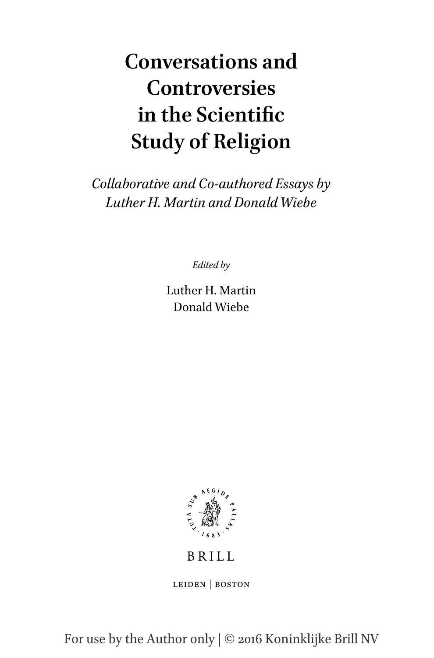# **Conversations and Controversies in the Scientific Study of Religion**

*Collaborative and Co-authored Essays by Luther H. Martin and Donald Wiebe*

*Edited by*

Luther H. Martin Donald Wiebe



**BRILL** 

LEIDEN | BOSTON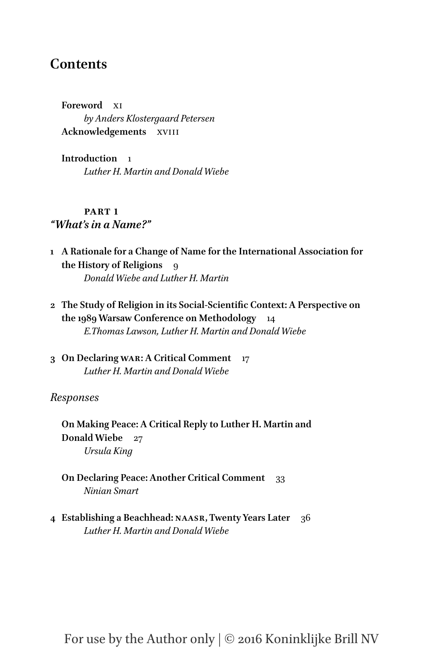# **Contents**

**Foreword** xi *by Anders Klostergaard Petersen* **Acknowledgements** xviii

**Introduction** 1 *Luther H. Martin and Donald Wiebe*

**Part 1** *"What's in a Name?"*

- **1 A Rationale for a Change of Name for the International Association for the History of Religions** 9 *Donald Wiebe and Luther H. Martin*
- **2 The Study of Religion in its Social-Scientific Context: A Perspective on the 1989 Warsaw Conference on Methodology** 14 *E.Thomas Lawson, Luther H. Martin and Donald Wiebe*
- **3 On Declaring war: A Critical Comment** 17 *Luther H. Martin and Donald Wiebe*

*Responses*

**On Making Peace: A Critical Reply to Luther H. Martin and Donald Wiebe** 27 *Ursula King*

- **On Declaring Peace: Another Critical Comment** 33 *Ninian Smart*
- **4 Establishing a Beachhead: naasr, Twenty Years Later** 36 *Luther H. Martin and Donald Wiebe*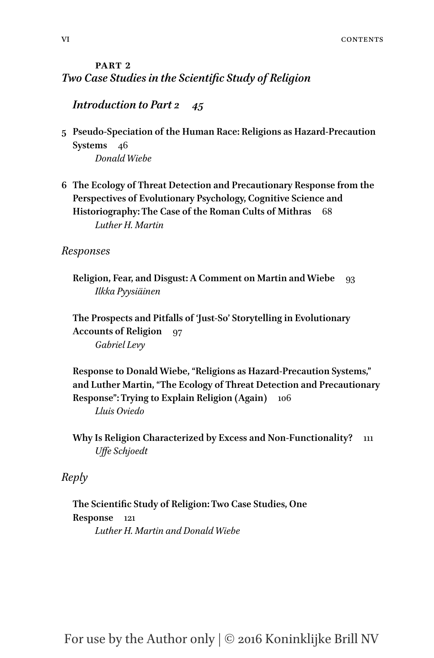#### **Part 2** *Two Case Studies in the Scientific Study of Religion*

#### *Introduction to Part 2 45*

- **5 Pseudo-Speciation of the Human Race: Religions as Hazard-Precaution Systems** 46 *Donald Wiebe*
- **6 The Ecology of Threat Detection and Precautionary Response from the Perspectives of Evolutionary Psychology, Cognitive Science and Historiography: The Case of the Roman Cults of Mithras** 68 *Luther H. Martin*

#### *Responses*

**Religion, Fear, and Disgust: A Comment on Martin and Wiebe** 93 *Ilkka Pyysiäinen*

**The Prospects and Pitfalls of 'Just-So' Storytelling in Evolutionary Accounts of Religion** 97 *Gabriel Levy*

**Response to Donald Wiebe, "Religions as Hazard-Precaution Systems," and Luther Martin, "The Ecology of Threat Detection and Precautionary Response": Trying to Explain Religion (Again)** 106 *Lluis Oviedo*

**Why Is Religion Characterized by Excess and Non-Functionality?** 111 *Uffe Schjoedt*

#### *Reply*

**The Scientific Study of Religion: Two Case Studies, One Response** 121 *Luther H. Martin and Donald Wiebe*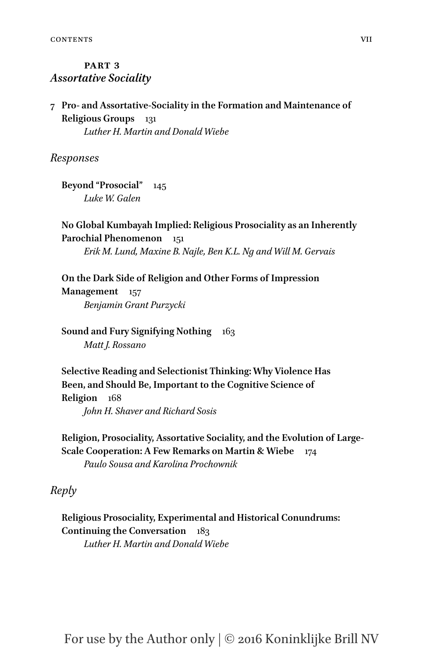# **Part 3** *Assortative Sociality*

**7 Pro- and Assortative-Sociality in the Formation and Maintenance of Religious Groups** 131 *Luther H. Martin and Donald Wiebe*

*Responses*

**Beyond "Prosocial"** 145 *Luke W. Galen*

**No Global Kumbayah Implied: Religious Prosociality as an Inherently Parochial Phenomenon** 151 *Erik M. Lund, Maxine B. Najle, Ben K.L. Ng and Will M. Gervais*

**On the Dark Side of Religion and Other Forms of Impression Management** 157 *Benjamin Grant Purzycki*

**Sound and Fury Signifying Nothing** 163 *Matt J. Rossano*

**Selective Reading and Selectionist Thinking: Why Violence Has Been, and Should Be, Important to the Cognitive Science of Religion** 168 *John H. Shaver and Richard Sosis*

**Religion, Prosociality, Assortative Sociality, and the Evolution of Large-Scale Cooperation: A Few Remarks on Martin & Wiebe** 174 *Paulo Sousa and Karolina Prochownik*

#### *Reply*

**Religious Prosociality, Experimental and Historical Conundrums: Continuing the Conversation** 183 *Luther H. Martin and Donald Wiebe*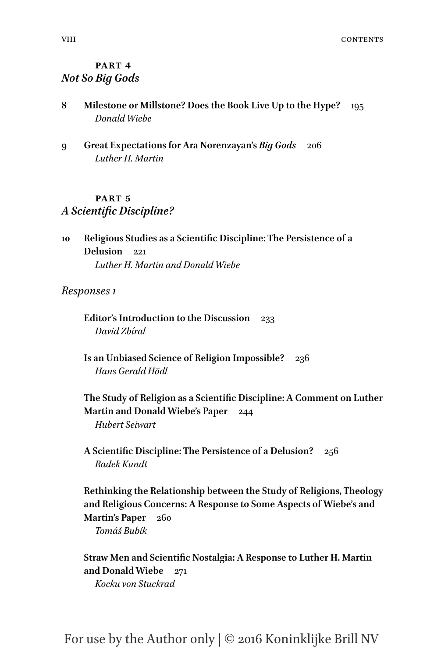## **Part 4** *Not So Big Gods*

- **8 Milestone or Millstone? Does the Book Live Up to the Hype?** 195 *Donald Wiebe*
- **9 Great Expectations for Ara Norenzayan's** *Big Gods* 206 *Luther H. Martin*

## **Part 5** *A Scientific Discipline?*

**10 Religious Studies as a Scientific Discipline: The Persistence of a Delusion** 221 *Luther H. Martin and Donald Wiebe*

*Responses 1*

**Editor's Introduction to the Discussion** 233 *David Zbíral*

- **Is an Unbiased Science of Religion Impossible?** 236 *Hans Gerald Hödl*
- **The Study of Religion as a Scientific Discipline: A Comment on Luther Martin and Donald Wiebe's Paper** 244 *Hubert Seiwart*
- **A Scientific Discipline: The Persistence of a Delusion?** 256 *Radek Kundt*

**Rethinking the Relationship between the Study of Religions, Theology and Religious Concerns: A Response to Some Aspects of Wiebe's and Martin's Paper** 260 *Tomáš Bubík*

**Straw Men and Scientific Nostalgia: A Response to Luther H. Martin and Donald Wiebe** 271 *Kocku von Stuckrad*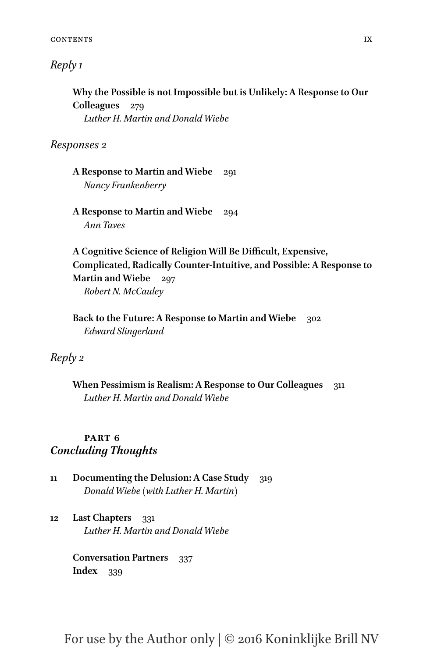# *Reply 1*

**Why the Possible is not Impossible but is Unlikely: A Response to Our Colleagues** 279 *Luther H. Martin and Donald Wiebe*

#### *Responses 2*

**A Response to Martin and Wiebe** 291 *Nancy Frankenberry*

**A Response to Martin and Wiebe** 294 *Ann Taves*

**A Cognitive Science of Religion Will Be Difficult, Expensive, Complicated, Radically Counter-Intuitive, and Possible: A Response to Martin and Wiebe** 297 *Robert N. McCauley*

**Back to the Future: A Response to Martin and Wiebe** 302 *Edward Slingerland*

*Reply 2*

**When Pessimism is Realism: A Response to Our Colleagues** 311 *Luther H. Martin and Donald Wiebe*

# **Part 6** *Concluding Thoughts*

- **11 Documenting the Delusion: A Case Study** 319 *Donald Wiebe (with Luther H. Martin)*
- **12 Last Chapters** 331 *Luther H. Martin and Donald Wiebe*

**Conversation Partners** 337 **Index** 339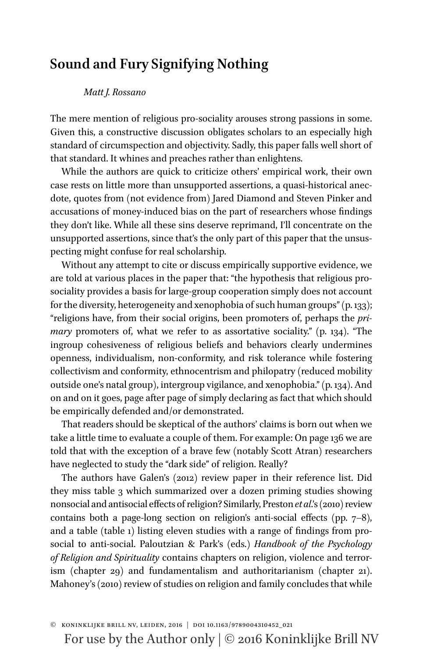# **Sound and Fury Signifying Nothing**

#### *Matt J. Rossano*

The mere mention of religious pro-sociality arouses strong passions in some. Given this, a constructive discussion obligates scholars to an especially high standard of circumspection and objectivity. Sadly, this paper falls well short of that standard. It whines and preaches rather than enlightens.

While the authors are quick to criticize others' empirical work, their own case rests on little more than unsupported assertions, a quasi-historical anecdote, quotes from (not evidence from) Jared Diamond and Steven Pinker and accusations of money-induced bias on the part of researchers whose findings they don't like. While all these sins deserve reprimand, I'll concentrate on the unsupported assertions, since that's the only part of this paper that the unsuspecting might confuse for real scholarship.

Without any attempt to cite or discuss empirically supportive evidence, we are told at various places in the paper that: "the hypothesis that religious prosociality provides a basis for large-group cooperation simply does not account for the diversity, heterogeneity and xenophobia of such human groups" (p. 133); "religions have, from their social origins, been promoters of, perhaps the *primary* promoters of, what we refer to as assortative sociality." (p. 134). "The ingroup cohesiveness of religious beliefs and behaviors clearly undermines openness, individualism, non-conformity, and risk tolerance while fostering collectivism and conformity, ethnocentrism and philopatry (reduced mobility outside one's natal group), intergroup vigilance, and xenophobia." (p. 134). And on and on it goes, page after page of simply declaring as fact that which should be empirically defended and/or demonstrated.

That readers should be skeptical of the authors' claims is born out when we take a little time to evaluate a couple of them. For example: On page 136 we are told that with the exception of a brave few (notably Scott Atran) researchers have neglected to study the "dark side" of religion. Really?

The authors have Galen's (2012) review paper in their reference list. Did they miss table 3 which summarized over a dozen priming studies showing nonsocial and antisocial effects of religion? Similarly, Preston *et al*.'s (2010) review contains both a page-long section on religion's anti-social effects (pp.  $7-8$ ), and a table (table 1) listing eleven studies with a range of findings from prosocial to anti-social. Paloutzian & Park's (eds.) *Handbook of the Psychology of Religion and Spirituality* contains chapters on religion, violence and terrorism (chapter 29) and fundamentalism and authoritarianism (chapter 21). Mahoney's (2010) review of studies on religion and family concludes that while

For use by the Author only | © 2016 Koninklijke Brill NV © koninklijke brill nv, leiden, ���6 | doi 10.1163/9789004310452\_021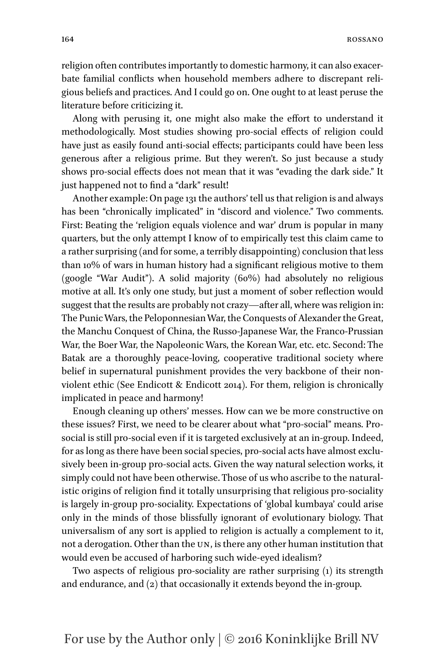religion often contributes importantly to domestic harmony, it can also exacerbate familial conflicts when household members adhere to discrepant religious beliefs and practices. And I could go on. One ought to at least peruse the literature before criticizing it.

Along with perusing it, one might also make the effort to understand it methodologically. Most studies showing pro-social effects of religion could have just as easily found anti-social effects; participants could have been less generous after a religious prime. But they weren't. So just because a study shows pro-social effects does not mean that it was "evading the dark side." It just happened not to find a "dark" result!

Another example: On page 131 the authors' tell us that religion is and always has been "chronically implicated" in "discord and violence." Two comments. First: Beating the 'religion equals violence and war' drum is popular in many quarters, but the only attempt I know of to empirically test this claim came to a rather surprising (and for some, a terribly disappointing) conclusion that less than 10% of wars in human history had a significant religious motive to them (google "War Audit"). A solid majority (60%) had absolutely no religious motive at all. It's only one study, but just a moment of sober reflection would suggest that the results are probably not crazy—after all, where was religion in: The Punic Wars, the Peloponnesian War, the Conquests of Alexander the Great, the Manchu Conquest of China, the Russo-Japanese War, the Franco-Prussian War, the Boer War, the Napoleonic Wars, the Korean War, etc. etc. Second: The Batak are a thoroughly peace-loving, cooperative traditional society where belief in supernatural punishment provides the very backbone of their nonviolent ethic (See Endicott & Endicott 2014). For them, religion is chronically implicated in peace and harmony!

Enough cleaning up others' messes. How can we be more constructive on these issues? First, we need to be clearer about what "pro-social" means. Prosocial is still pro-social even if it is targeted exclusively at an in-group. Indeed, for as long as there have been social species, pro-social acts have almost exclusively been in-group pro-social acts. Given the way natural selection works, it simply could not have been otherwise. Those of us who ascribe to the naturalistic origins of religion find it totally unsurprising that religious pro-sociality is largely in-group pro-sociality. Expectations of 'global kumbaya' could arise only in the minds of those blissfully ignorant of evolutionary biology. That universalism of any sort is applied to religion is actually a complement to it, not a derogation. Other than the un, is there any other human institution that would even be accused of harboring such wide-eyed idealism?

Two aspects of religious pro-sociality are rather surprising (1) its strength and endurance, and (2) that occasionally it extends beyond the in-group.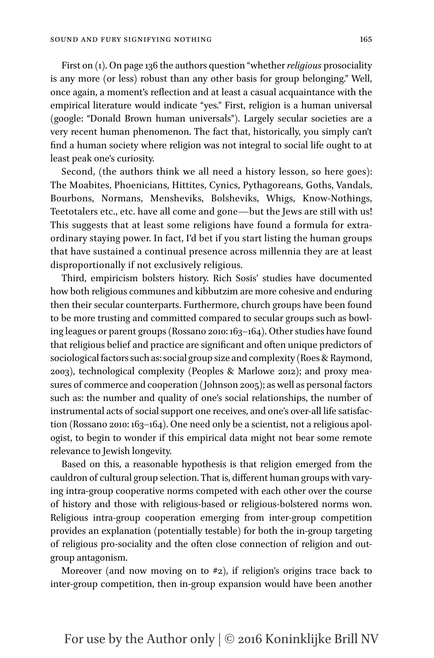First on (1). On page 136 the authors question "whether *religious* prosociality is any more (or less) robust than any other basis for group belonging." Well, once again, a moment's reflection and at least a casual acquaintance with the empirical literature would indicate "yes." First, religion is a human universal (google: "Donald Brown human universals"). Largely secular societies are a very recent human phenomenon. The fact that, historically, you simply can't find a human society where religion was not integral to social life ought to at least peak one's curiosity.

Second, (the authors think we all need a history lesson, so here goes): The Moabites, Phoenicians, Hittites, Cynics, Pythagoreans, Goths, Vandals, Bourbons, Normans, Mensheviks, Bolsheviks, Whigs, Know-Nothings, Teetotalers etc., etc. have all come and gone—but the Jews are still with us! This suggests that at least some religions have found a formula for extraordinary staying power. In fact, I'd bet if you start listing the human groups that have sustained a continual presence across millennia they are at least disproportionally if not exclusively religious.

Third, empiricism bolsters history. Rich Sosis' studies have documented how both religious communes and kibbutzim are more cohesive and enduring then their secular counterparts. Furthermore, church groups have been found to be more trusting and committed compared to secular groups such as bowling leagues or parent groups (Rossano 2010: 163–164). Other studies have found that religious belief and practice are significant and often unique predictors of sociological factors such as: social group size and complexity (Roes & Raymond, 2003), technological complexity (Peoples & Marlowe 2012); and proxy measures of commerce and cooperation (Johnson 2005); as well as personal factors such as: the number and quality of one's social relationships, the number of instrumental acts of social support one receives, and one's over-all life satisfaction (Rossano 2010: 163–164). One need only be a scientist, not a religious apologist, to begin to wonder if this empirical data might not bear some remote relevance to Jewish longevity.

Based on this, a reasonable hypothesis is that religion emerged from the cauldron of cultural group selection. That is, different human groups with varying intra-group cooperative norms competed with each other over the course of history and those with religious-based or religious-bolstered norms won. Religious intra-group cooperation emerging from inter-group competition provides an explanation (potentially testable) for both the in-group targeting of religious pro-sociality and the often close connection of religion and outgroup antagonism.

Moreover (and now moving on to #2), if religion's origins trace back to inter-group competition, then in-group expansion would have been another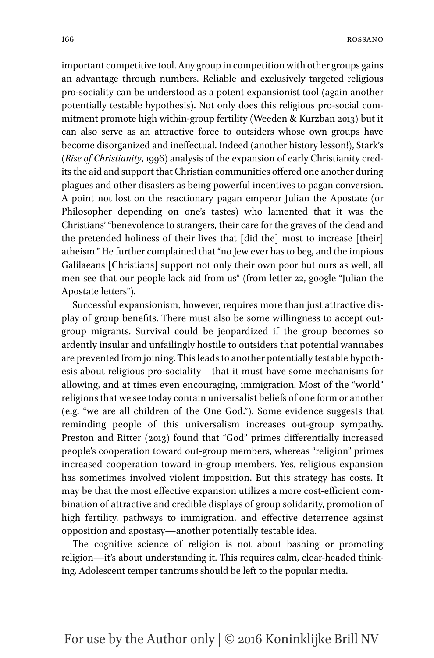important competitive tool. Any group in competition with other groups gains an advantage through numbers. Reliable and exclusively targeted religious pro-sociality can be understood as a potent expansionist tool (again another potentially testable hypothesis). Not only does this religious pro-social commitment promote high within-group fertility (Weeden & Kurzban 2013) but it can also serve as an attractive force to outsiders whose own groups have become disorganized and ineffectual. Indeed (another history lesson!), Stark's (*Rise of Christianity*, 1996) analysis of the expansion of early Christianity credits the aid and support that Christian communities offered one another during plagues and other disasters as being powerful incentives to pagan conversion. A point not lost on the reactionary pagan emperor Julian the Apostate (or Philosopher depending on one's tastes) who lamented that it was the Christians' "benevolence to strangers, their care for the graves of the dead and the pretended holiness of their lives that [did the] most to increase [their] atheism." He further complained that "no Jew ever has to beg, and the impious Galilaeans [Christians] support not only their own poor but ours as well, all men see that our people lack aid from us" (from letter 22, google "Julian the Apostate letters").

Successful expansionism, however, requires more than just attractive display of group benefits. There must also be some willingness to accept outgroup migrants. Survival could be jeopardized if the group becomes so ardently insular and unfailingly hostile to outsiders that potential wannabes are prevented from joining. This leads to another potentially testable hypothesis about religious pro-sociality—that it must have some mechanisms for allowing, and at times even encouraging, immigration. Most of the "world" religions that we see today contain universalist beliefs of one form or another (e.g. "we are all children of the One God."). Some evidence suggests that reminding people of this universalism increases out-group sympathy. Preston and Ritter (2013) found that "God" primes differentially increased people's cooperation toward out-group members, whereas "religion" primes increased cooperation toward in-group members. Yes, religious expansion has sometimes involved violent imposition. But this strategy has costs. It may be that the most effective expansion utilizes a more cost-efficient combination of attractive and credible displays of group solidarity, promotion of high fertility, pathways to immigration, and effective deterrence against opposition and apostasy—another potentially testable idea.

The cognitive science of religion is not about bashing or promoting religion—it's about understanding it. This requires calm, clear-headed thinking. Adolescent temper tantrums should be left to the popular media.